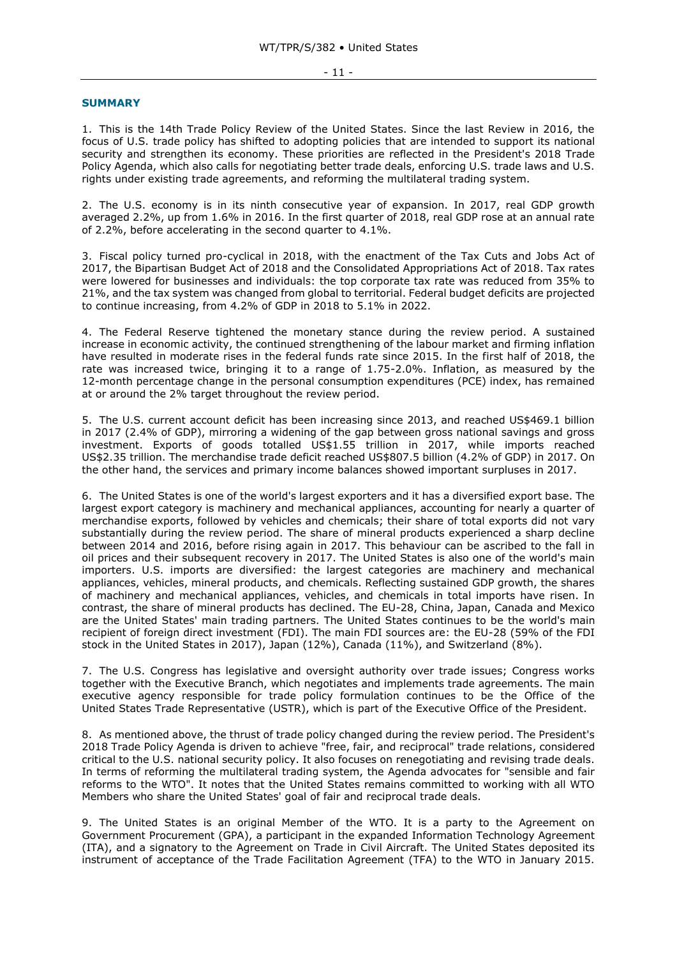## - 11 -

## **SUMMARY**

1. This is the 14th Trade Policy Review of the United States. Since the last Review in 2016, the focus of U.S. trade policy has shifted to adopting policies that are intended to support its national security and strengthen its economy. These priorities are reflected in the President's 2018 Trade Policy Agenda, which also calls for negotiating better trade deals, enforcing U.S. trade laws and U.S. rights under existing trade agreements, and reforming the multilateral trading system.

2. The U.S. economy is in its ninth consecutive year of expansion. In 2017, real GDP growth averaged 2.2%, up from 1.6% in 2016. In the first quarter of 2018, real GDP rose at an annual rate of 2.2%, before accelerating in the second quarter to 4.1%.

3. Fiscal policy turned pro-cyclical in 2018, with the enactment of the Tax Cuts and Jobs Act of 2017, the Bipartisan Budget Act of 2018 and the Consolidated Appropriations Act of 2018. Tax rates were lowered for businesses and individuals: the top corporate tax rate was reduced from 35% to 21%, and the tax system was changed from global to territorial. Federal budget deficits are projected to continue increasing, from 4.2% of GDP in 2018 to 5.1% in 2022.

4. The Federal Reserve tightened the monetary stance during the review period. A sustained increase in economic activity, the continued strengthening of the labour market and firming inflation have resulted in moderate rises in the federal funds rate since 2015. In the first half of 2018, the rate was increased twice, bringing it to a range of 1.75-2.0%. Inflation, as measured by the 12-month percentage change in the personal consumption expenditures (PCE) index, has remained at or around the 2% target throughout the review period.

5. The U.S. current account deficit has been increasing since 2013, and reached US\$469.1 billion in 2017 (2.4% of GDP), mirroring a widening of the gap between gross national savings and gross investment. Exports of goods totalled US\$1.55 trillion in 2017, while imports reached US\$2.35 trillion. The merchandise trade deficit reached US\$807.5 billion (4.2% of GDP) in 2017. On the other hand, the services and primary income balances showed important surpluses in 2017.

6. The United States is one of the world's largest exporters and it has a diversified export base. The largest export category is machinery and mechanical appliances, accounting for nearly a quarter of merchandise exports, followed by vehicles and chemicals; their share of total exports did not vary substantially during the review period. The share of mineral products experienced a sharp decline between 2014 and 2016, before rising again in 2017. This behaviour can be ascribed to the fall in oil prices and their subsequent recovery in 2017. The United States is also one of the world's main importers. U.S. imports are diversified: the largest categories are machinery and mechanical appliances, vehicles, mineral products, and chemicals. Reflecting sustained GDP growth, the shares of machinery and mechanical appliances, vehicles, and chemicals in total imports have risen. In contrast, the share of mineral products has declined. The EU-28, China, Japan, Canada and Mexico are the United States' main trading partners. The United States continues to be the world's main recipient of foreign direct investment (FDI). The main FDI sources are: the EU-28 (59% of the FDI stock in the United States in 2017), Japan (12%), Canada (11%), and Switzerland (8%).

7. The U.S. Congress has legislative and oversight authority over trade issues; Congress works together with the Executive Branch, which negotiates and implements trade agreements. The main executive agency responsible for trade policy formulation continues to be the Office of the United States Trade Representative (USTR), which is part of the Executive Office of the President.

8. As mentioned above, the thrust of trade policy changed during the review period. The President's 2018 Trade Policy Agenda is driven to achieve "free, fair, and reciprocal" trade relations, considered critical to the U.S. national security policy. It also focuses on renegotiating and revising trade deals. In terms of reforming the multilateral trading system, the Agenda advocates for "sensible and fair reforms to the WTO". It notes that the United States remains committed to working with all WTO Members who share the United States' goal of fair and reciprocal trade deals.

9. The United States is an original Member of the WTO. It is a party to the Agreement on Government Procurement (GPA), a participant in the expanded Information Technology Agreement (ITA), and a signatory to the Agreement on Trade in Civil Aircraft. The United States deposited its instrument of acceptance of the Trade Facilitation Agreement (TFA) to the WTO in January 2015.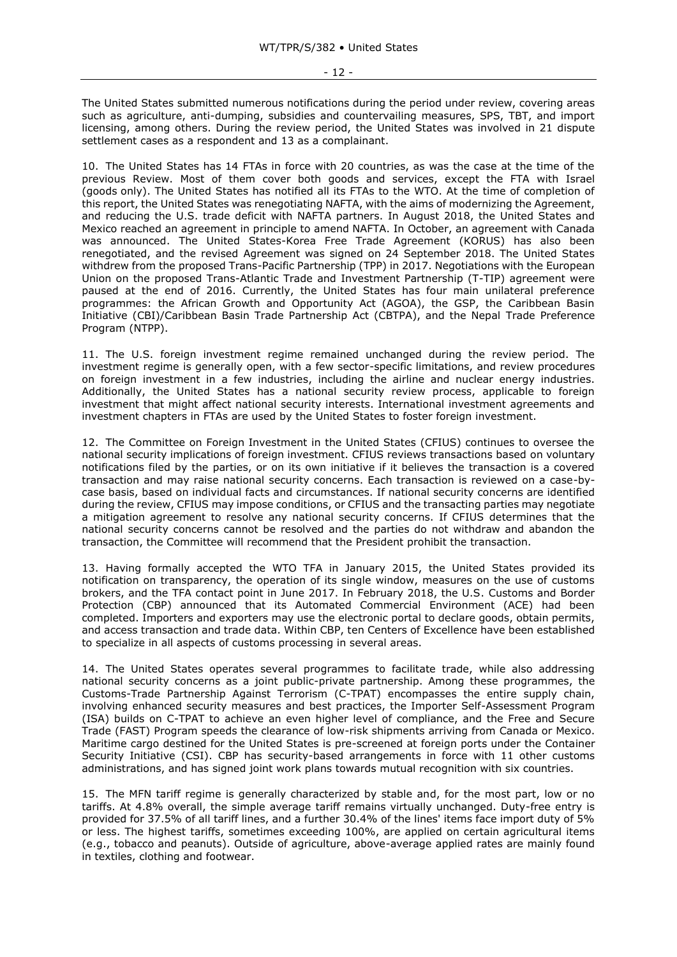The United States submitted numerous notifications during the period under review, covering areas such as agriculture, anti-dumping, subsidies and countervailing measures, SPS, TBT, and import licensing, among others. During the review period, the United States was involved in 21 dispute settlement cases as a respondent and 13 as a complainant.

10. The United States has 14 FTAs in force with 20 countries, as was the case at the time of the previous Review. Most of them cover both goods and services, except the FTA with Israel (goods only). The United States has notified all its FTAs to the WTO. At the time of completion of this report, the United States was renegotiating NAFTA, with the aims of modernizing the Agreement, and reducing the U.S. trade deficit with NAFTA partners. In August 2018, the United States and Mexico reached an agreement in principle to amend NAFTA. In October, an agreement with Canada was announced. The United States-Korea Free Trade Agreement (KORUS) has also been renegotiated, and the revised Agreement was signed on 24 September 2018. The United States withdrew from the proposed Trans-Pacific Partnership (TPP) in 2017. Negotiations with the European Union on the proposed Trans-Atlantic Trade and Investment Partnership (T-TIP) agreement were paused at the end of 2016. Currently, the United States has four main unilateral preference programmes: the African Growth and Opportunity Act (AGOA), the GSP, the Caribbean Basin Initiative (CBI)/Caribbean Basin Trade Partnership Act (CBTPA), and the Nepal Trade Preference Program (NTPP).

11. The U.S. foreign investment regime remained unchanged during the review period. The investment regime is generally open, with a few sector-specific limitations, and review procedures on foreign investment in a few industries, including the airline and nuclear energy industries. Additionally, the United States has a national security review process, applicable to foreign investment that might affect national security interests. International investment agreements and investment chapters in FTAs are used by the United States to foster foreign investment.

12. The Committee on Foreign Investment in the United States (CFIUS) continues to oversee the national security implications of foreign investment. CFIUS reviews transactions based on voluntary notifications filed by the parties, or on its own initiative if it believes the transaction is a covered transaction and may raise national security concerns. Each transaction is reviewed on a case-bycase basis, based on individual facts and circumstances. If national security concerns are identified during the review, CFIUS may impose conditions, or CFIUS and the transacting parties may negotiate a mitigation agreement to resolve any national security concerns. If CFIUS determines that the national security concerns cannot be resolved and the parties do not withdraw and abandon the transaction, the Committee will recommend that the President prohibit the transaction.

13. Having formally accepted the WTO TFA in January 2015, the United States provided its notification on transparency, the operation of its single window, measures on the use of customs brokers, and the TFA contact point in June 2017. In February 2018, the U.S. Customs and Border Protection (CBP) announced that its Automated Commercial Environment (ACE) had been completed. Importers and exporters may use the electronic portal to declare goods, obtain permits, and access transaction and trade data. Within CBP, ten Centers of Excellence have been established to specialize in all aspects of customs processing in several areas.

14. The United States operates several programmes to facilitate trade, while also addressing national security concerns as a joint public-private partnership. Among these programmes, the Customs-Trade Partnership Against Terrorism (C-TPAT) encompasses the entire supply chain, involving enhanced security measures and best practices, the Importer Self-Assessment Program (ISA) builds on C-TPAT to achieve an even higher level of compliance, and the Free and Secure Trade (FAST) Program speeds the clearance of low-risk shipments arriving from Canada or Mexico. Maritime cargo destined for the United States is pre-screened at foreign ports under the Container Security Initiative (CSI). CBP has security-based arrangements in force with 11 other customs administrations, and has signed joint work plans towards mutual recognition with six countries.

15. The MFN tariff regime is generally characterized by stable and, for the most part, low or no tariffs. At 4.8% overall, the simple average tariff remains virtually unchanged. Duty-free entry is provided for 37.5% of all tariff lines, and a further 30.4% of the lines' items face import duty of 5% or less. The highest tariffs, sometimes exceeding 100%, are applied on certain agricultural items (e.g., tobacco and peanuts). Outside of agriculture, above-average applied rates are mainly found in textiles, clothing and footwear.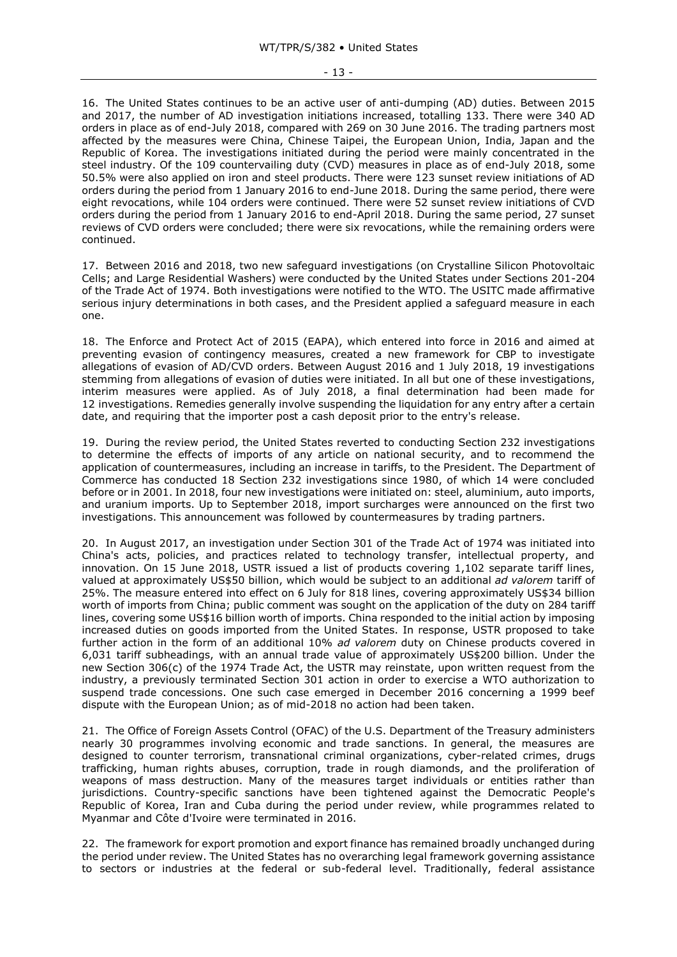16. The United States continues to be an active user of anti-dumping (AD) duties. Between 2015 and 2017, the number of AD investigation initiations increased, totalling 133. There were 340 AD orders in place as of end-July 2018, compared with 269 on 30 June 2016. The trading partners most affected by the measures were China, Chinese Taipei, the European Union, India, Japan and the Republic of Korea. The investigations initiated during the period were mainly concentrated in the steel industry. Of the 109 countervailing duty (CVD) measures in place as of end-July 2018, some 50.5% were also applied on iron and steel products. There were 123 sunset review initiations of AD orders during the period from 1 January 2016 to end-June 2018. During the same period, there were eight revocations, while 104 orders were continued. There were 52 sunset review initiations of CVD orders during the period from 1 January 2016 to end-April 2018. During the same period, 27 sunset reviews of CVD orders were concluded; there were six revocations, while the remaining orders were continued.

17. Between 2016 and 2018, two new safeguard investigations (on Crystalline Silicon Photovoltaic Cells; and Large Residential Washers) were conducted by the United States under Sections 201-204 of the Trade Act of 1974. Both investigations were notified to the WTO. The USITC made affirmative serious injury determinations in both cases, and the President applied a safeguard measure in each one.

18. The Enforce and Protect Act of 2015 (EAPA), which entered into force in 2016 and aimed at preventing evasion of contingency measures, created a new framework for CBP to investigate allegations of evasion of AD/CVD orders. Between August 2016 and 1 July 2018, 19 investigations stemming from allegations of evasion of duties were initiated. In all but one of these investigations, interim measures were applied. As of July 2018, a final determination had been made for 12 investigations. Remedies generally involve suspending the liquidation for any entry after a certain date, and requiring that the importer post a cash deposit prior to the entry's release.

19. During the review period, the United States reverted to conducting Section 232 investigations to determine the effects of imports of any article on national security, and to recommend the application of countermeasures, including an increase in tariffs, to the President. The Department of Commerce has conducted 18 Section 232 investigations since 1980, of which 14 were concluded before or in 2001. In 2018, four new investigations were initiated on: steel, aluminium, auto imports, and uranium imports. Up to September 2018, import surcharges were announced on the first two investigations. This announcement was followed by countermeasures by trading partners.

20. In August 2017, an investigation under Section 301 of the Trade Act of 1974 was initiated into China's acts, policies, and practices related to technology transfer, intellectual property, and innovation. On 15 June 2018, USTR issued a list of products covering 1,102 separate tariff lines, valued at approximately US\$50 billion, which would be subject to an additional *ad valorem* tariff of 25%. The measure entered into effect on 6 July for 818 lines, covering approximately US\$34 billion worth of imports from China; public comment was sought on the application of the duty on 284 tariff lines, covering some US\$16 billion worth of imports. China responded to the initial action by imposing increased duties on goods imported from the United States. In response, USTR proposed to take further action in the form of an additional 10% *ad valorem* duty on Chinese products covered in 6,031 tariff subheadings, with an annual trade value of approximately US\$200 billion. Under the new Section 306(c) of the 1974 Trade Act, the USTR may reinstate, upon written request from the industry, a previously terminated Section 301 action in order to exercise a WTO authorization to suspend trade concessions. One such case emerged in December 2016 concerning a 1999 beef dispute with the European Union; as of mid-2018 no action had been taken.

21. The Office of Foreign Assets Control (OFAC) of the U.S. Department of the Treasury administers nearly 30 programmes involving economic and trade sanctions. In general, the measures are designed to counter terrorism, transnational criminal organizations, cyber-related crimes, drugs trafficking, human rights abuses, corruption, trade in rough diamonds, and the proliferation of weapons of mass destruction. Many of the measures target individuals or entities rather than jurisdictions. Country-specific sanctions have been tightened against the Democratic People's Republic of Korea, Iran and Cuba during the period under review, while programmes related to Myanmar and Côte d'Ivoire were terminated in 2016.

22. The framework for export promotion and export finance has remained broadly unchanged during the period under review. The United States has no overarching legal framework governing assistance to sectors or industries at the federal or sub-federal level. Traditionally, federal assistance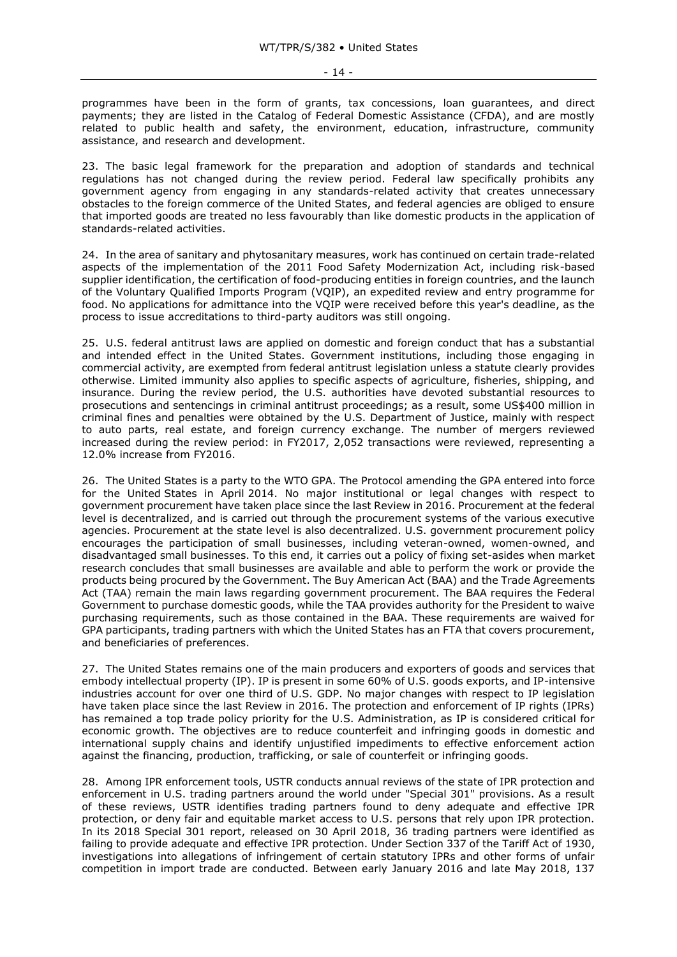programmes have been in the form of grants, tax concessions, loan guarantees, and direct payments; they are listed in the Catalog of Federal Domestic Assistance (CFDA), and are mostly related to public health and safety, the environment, education, infrastructure, community assistance, and research and development.

23. The basic legal framework for the preparation and adoption of standards and technical regulations has not changed during the review period. Federal law specifically prohibits any government agency from engaging in any standards-related activity that creates unnecessary obstacles to the foreign commerce of the United States, and federal agencies are obliged to ensure that imported goods are treated no less favourably than like domestic products in the application of standards-related activities.

24. In the area of sanitary and phytosanitary measures, work has continued on certain trade-related aspects of the implementation of the 2011 Food Safety Modernization Act, including risk-based supplier identification, the certification of food-producing entities in foreign countries, and the launch of the Voluntary Qualified Imports Program (VQIP), an expedited review and entry programme for food. No applications for admittance into the VQIP were received before this year's deadline, as the process to issue accreditations to third-party auditors was still ongoing.

25. U.S. federal antitrust laws are applied on domestic and foreign conduct that has a substantial and intended effect in the United States. Government institutions, including those engaging in commercial activity, are exempted from federal antitrust legislation unless a statute clearly provides otherwise. Limited immunity also applies to specific aspects of agriculture, fisheries, shipping, and insurance. During the review period, the U.S. authorities have devoted substantial resources to prosecutions and sentencings in criminal antitrust proceedings; as a result, some US\$400 million in criminal fines and penalties were obtained by the U.S. Department of Justice, mainly with respect to auto parts, real estate, and foreign currency exchange. The number of mergers reviewed increased during the review period: in FY2017, 2,052 transactions were reviewed, representing a 12.0% increase from FY2016.

26. The United States is a party to the WTO GPA. The Protocol amending the GPA entered into force for the United States in April 2014. No major institutional or legal changes with respect to government procurement have taken place since the last Review in 2016. Procurement at the federal level is decentralized, and is carried out through the procurement systems of the various executive agencies. Procurement at the state level is also decentralized. U.S. government procurement policy encourages the participation of small businesses, including veteran-owned, women-owned, and disadvantaged small businesses. To this end, it carries out a policy of fixing set-asides when market research concludes that small businesses are available and able to perform the work or provide the products being procured by the Government. The Buy American Act (BAA) and the Trade Agreements Act (TAA) remain the main laws regarding government procurement. The BAA requires the Federal Government to purchase domestic goods, while the TAA provides authority for the President to waive purchasing requirements, such as those contained in the BAA. These requirements are waived for GPA participants, trading partners with which the United States has an FTA that covers procurement, and beneficiaries of preferences.

27. The United States remains one of the main producers and exporters of goods and services that embody intellectual property (IP). IP is present in some 60% of U.S. goods exports, and IP-intensive industries account for over one third of U.S. GDP. No major changes with respect to IP legislation have taken place since the last Review in 2016. The protection and enforcement of IP rights (IPRs) has remained a top trade policy priority for the U.S. Administration, as IP is considered critical for economic growth. The objectives are to reduce counterfeit and infringing goods in domestic and international supply chains and identify unjustified impediments to effective enforcement action against the financing, production, trafficking, or sale of counterfeit or infringing goods.

28. Among IPR enforcement tools, USTR conducts annual reviews of the state of IPR protection and enforcement in U.S. trading partners around the world under "Special 301" provisions. As a result of these reviews, USTR identifies trading partners found to deny adequate and effective IPR protection, or deny fair and equitable market access to U.S. persons that rely upon IPR protection. In its 2018 Special 301 report, released on 30 April 2018, 36 trading partners were identified as failing to provide adequate and effective IPR protection. Under Section 337 of the Tariff Act of 1930, investigations into allegations of infringement of certain statutory IPRs and other forms of unfair competition in import trade are conducted. Between early January 2016 and late May 2018, 137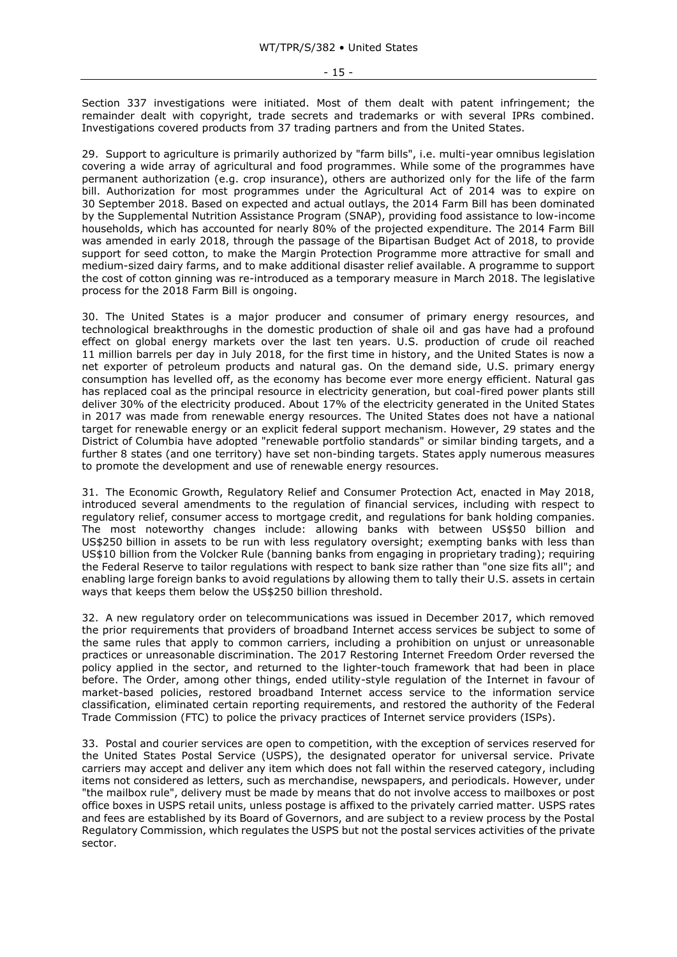Section 337 investigations were initiated. Most of them dealt with patent infringement; the remainder dealt with copyright, trade secrets and trademarks or with several IPRs combined. Investigations covered products from 37 trading partners and from the United States.

29. Support to agriculture is primarily authorized by "farm bills", i.e. multi-year omnibus legislation covering a wide array of agricultural and food programmes. While some of the programmes have permanent authorization (e.g. crop insurance), others are authorized only for the life of the farm bill. Authorization for most programmes under the Agricultural Act of 2014 was to expire on 30 September 2018. Based on expected and actual outlays, the 2014 Farm Bill has been dominated by the Supplemental Nutrition Assistance Program (SNAP), providing food assistance to low-income households, which has accounted for nearly 80% of the projected expenditure. The 2014 Farm Bill was amended in early 2018, through the passage of the Bipartisan Budget Act of 2018, to provide support for seed cotton, to make the Margin Protection Programme more attractive for small and medium-sized dairy farms, and to make additional disaster relief available. A programme to support the cost of cotton ginning was re-introduced as a temporary measure in March 2018. The legislative process for the 2018 Farm Bill is ongoing.

30. The United States is a major producer and consumer of primary energy resources, and technological breakthroughs in the domestic production of shale oil and gas have had a profound effect on global energy markets over the last ten years. U.S. production of crude oil reached 11 million barrels per day in July 2018, for the first time in history, and the United States is now a net exporter of petroleum products and natural gas. On the demand side, U.S. primary energy consumption has levelled off, as the economy has become ever more energy efficient. Natural gas has replaced coal as the principal resource in electricity generation, but coal-fired power plants still deliver 30% of the electricity produced. About 17% of the electricity generated in the United States in 2017 was made from renewable energy resources. The United States does not have a national target for renewable energy or an explicit federal support mechanism. However, 29 states and the District of Columbia have adopted "renewable portfolio standards" or similar binding targets, and a further 8 states (and one territory) have set non-binding targets. States apply numerous measures to promote the development and use of renewable energy resources.

31. The Economic Growth, Regulatory Relief and Consumer Protection Act, enacted in May 2018, introduced several amendments to the regulation of financial services, including with respect to regulatory relief, consumer access to mortgage credit, and regulations for bank holding companies. The most noteworthy changes include: allowing banks with between US\$50 billion and US\$250 billion in assets to be run with less regulatory oversight; exempting banks with less than US\$10 billion from the Volcker Rule (banning banks from engaging in proprietary trading); requiring the Federal Reserve to tailor regulations with respect to bank size rather than "one size fits all"; and enabling large foreign banks to avoid regulations by allowing them to tally their U.S. assets in certain ways that keeps them below the US\$250 billion threshold.

32. A new regulatory order on telecommunications was issued in December 2017, which removed the prior requirements that providers of broadband Internet access services be subject to some of the same rules that apply to common carriers, including a prohibition on unjust or unreasonable practices or unreasonable discrimination. The 2017 Restoring Internet Freedom Order reversed the policy applied in the sector, and returned to the lighter-touch framework that had been in place before. The Order, among other things, ended utility-style regulation of the Internet in favour of market-based policies, restored broadband Internet access service to the information service classification, eliminated certain reporting requirements, and restored the authority of the Federal Trade Commission (FTC) to police the privacy practices of Internet service providers (ISPs).

33. Postal and courier services are open to competition, with the exception of services reserved for the United States Postal Service (USPS), the designated operator for universal service. Private carriers may accept and deliver any item which does not fall within the reserved category, including items not considered as letters, such as merchandise, newspapers, and periodicals. However, under "the mailbox rule", delivery must be made by means that do not involve access to mailboxes or post office boxes in USPS retail units, unless postage is affixed to the privately carried matter. USPS rates and fees are established by its Board of Governors, and are subject to a review process by the Postal Regulatory Commission, which regulates the USPS but not the postal services activities of the private sector.